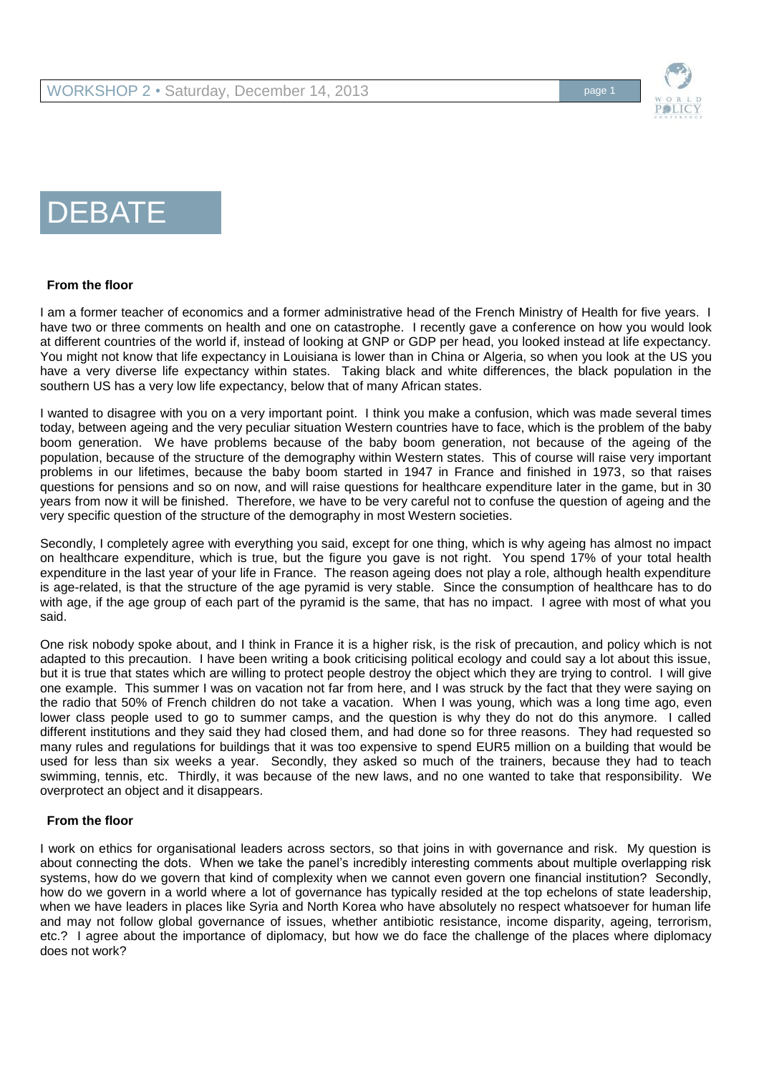

# **DEBATE**

#### **From the floor**

I am a former teacher of economics and a former administrative head of the French Ministry of Health for five years. I have two or three comments on health and one on catastrophe. I recently gave a conference on how you would look at different countries of the world if, instead of looking at GNP or GDP per head, you looked instead at life expectancy. You might not know that life expectancy in Louisiana is lower than in China or Algeria, so when you look at the US you have a very diverse life expectancy within states. Taking black and white differences, the black population in the southern US has a very low life expectancy, below that of many African states.

I wanted to disagree with you on a very important point. I think you make a confusion, which was made several times today, between ageing and the very peculiar situation Western countries have to face, which is the problem of the baby boom generation. We have problems because of the baby boom generation, not because of the ageing of the population, because of the structure of the demography within Western states. This of course will raise very important problems in our lifetimes, because the baby boom started in 1947 in France and finished in 1973, so that raises questions for pensions and so on now, and will raise questions for healthcare expenditure later in the game, but in 30 years from now it will be finished. Therefore, we have to be very careful not to confuse the question of ageing and the very specific question of the structure of the demography in most Western societies.

Secondly, I completely agree with everything you said, except for one thing, which is why ageing has almost no impact on healthcare expenditure, which is true, but the figure you gave is not right. You spend 17% of your total health expenditure in the last year of your life in France. The reason ageing does not play a role, although health expenditure is age-related, is that the structure of the age pyramid is very stable. Since the consumption of healthcare has to do with age, if the age group of each part of the pyramid is the same, that has no impact. I agree with most of what you said.

One risk nobody spoke about, and I think in France it is a higher risk, is the risk of precaution, and policy which is not adapted to this precaution. I have been writing a book criticising political ecology and could say a lot about this issue, but it is true that states which are willing to protect people destroy the object which they are trying to control. I will give one example. This summer I was on vacation not far from here, and I was struck by the fact that they were saying on the radio that 50% of French children do not take a vacation. When I was young, which was a long time ago, even lower class people used to go to summer camps, and the question is why they do not do this anymore. I called different institutions and they said they had closed them, and had done so for three reasons. They had requested so many rules and regulations for buildings that it was too expensive to spend EUR5 million on a building that would be used for less than six weeks a year. Secondly, they asked so much of the trainers, because they had to teach swimming, tennis, etc. Thirdly, it was because of the new laws, and no one wanted to take that responsibility. We overprotect an object and it disappears.

#### **From the floor**

I work on ethics for organisational leaders across sectors, so that joins in with governance and risk. My question is about connecting the dots. When we take the panel's incredibly interesting comments about multiple overlapping risk systems, how do we govern that kind of complexity when we cannot even govern one financial institution? Secondly, how do we govern in a world where a lot of governance has typically resided at the top echelons of state leadership, when we have leaders in places like Syria and North Korea who have absolutely no respect whatsoever for human life and may not follow global governance of issues, whether antibiotic resistance, income disparity, ageing, terrorism, etc.? I agree about the importance of diplomacy, but how we do face the challenge of the places where diplomacy does not work?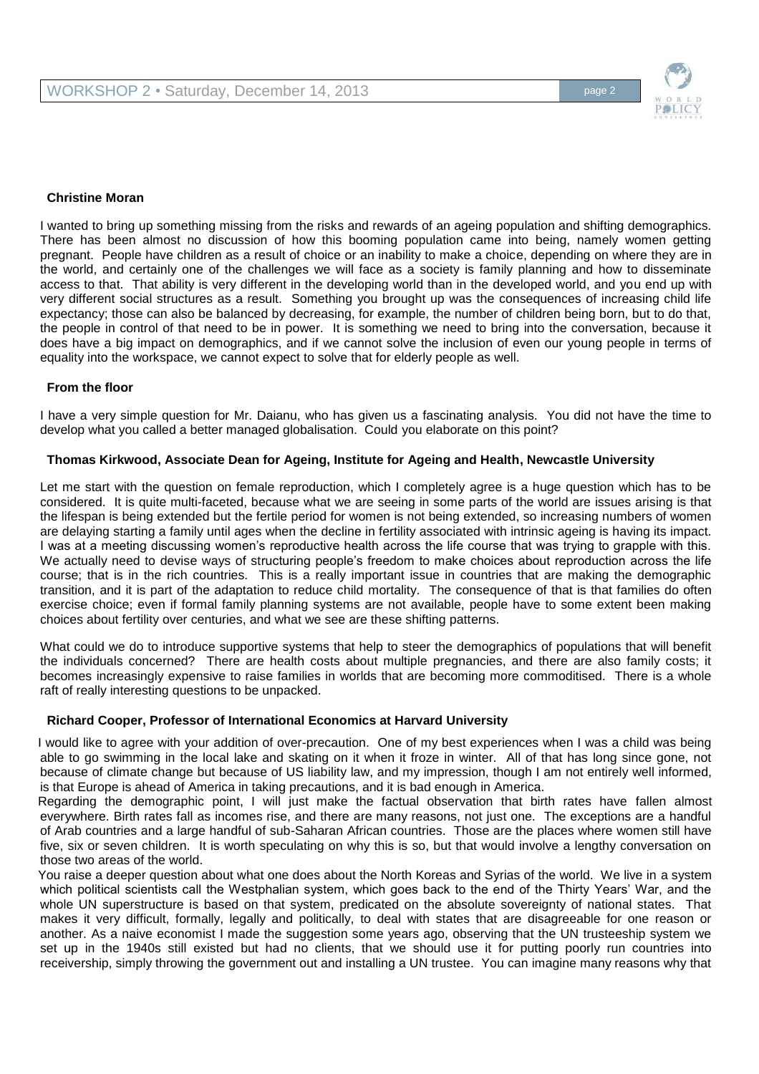

#### **Christine Moran**

I wanted to bring up something missing from the risks and rewards of an ageing population and shifting demographics. There has been almost no discussion of how this booming population came into being, namely women getting pregnant. People have children as a result of choice or an inability to make a choice, depending on where they are in the world, and certainly one of the challenges we will face as a society is family planning and how to disseminate access to that. That ability is very different in the developing world than in the developed world, and you end up with very different social structures as a result. Something you brought up was the consequences of increasing child life expectancy; those can also be balanced by decreasing, for example, the number of children being born, but to do that, the people in control of that need to be in power. It is something we need to bring into the conversation, because it does have a big impact on demographics, and if we cannot solve the inclusion of even our young people in terms of equality into the workspace, we cannot expect to solve that for elderly people as well.

#### **From the floor**

I have a very simple question for Mr. Daianu, who has given us a fascinating analysis. You did not have the time to develop what you called a better managed globalisation. Could you elaborate on this point?

#### **Thomas Kirkwood, Associate Dean for Ageing, Institute for Ageing and Health, Newcastle University**

Let me start with the question on female reproduction, which I completely agree is a huge question which has to be considered. It is quite multi-faceted, because what we are seeing in some parts of the world are issues arising is that the lifespan is being extended but the fertile period for women is not being extended, so increasing numbers of women are delaying starting a family until ages when the decline in fertility associated with intrinsic ageing is having its impact. I was at a meeting discussing women's reproductive health across the life course that was trying to grapple with this. We actually need to devise ways of structuring people's freedom to make choices about reproduction across the life course; that is in the rich countries. This is a really important issue in countries that are making the demographic transition, and it is part of the adaptation to reduce child mortality. The consequence of that is that families do often exercise choice; even if formal family planning systems are not available, people have to some extent been making choices about fertility over centuries, and what we see are these shifting patterns.

What could we do to introduce supportive systems that help to steer the demographics of populations that will benefit the individuals concerned? There are health costs about multiple pregnancies, and there are also family costs; it becomes increasingly expensive to raise families in worlds that are becoming more commoditised. There is a whole raft of really interesting questions to be unpacked.

#### **Richard Cooper, Professor of International Economics at Harvard University**

I would like to agree with your addition of over-precaution. One of my best experiences when I was a child was being able to go swimming in the local lake and skating on it when it froze in winter. All of that has long since gone, not because of climate change but because of US liability law, and my impression, though I am not entirely well informed, is that Europe is ahead of America in taking precautions, and it is bad enough in America.

Regarding the demographic point, I will just make the factual observation that birth rates have fallen almost everywhere. Birth rates fall as incomes rise, and there are many reasons, not just one. The exceptions are a handful of Arab countries and a large handful of sub-Saharan African countries. Those are the places where women still have five, six or seven children. It is worth speculating on why this is so, but that would involve a lengthy conversation on those two areas of the world.

You raise a deeper question about what one does about the North Koreas and Syrias of the world. We live in a system which political scientists call the Westphalian system, which goes back to the end of the Thirty Years' War, and the whole UN superstructure is based on that system, predicated on the absolute sovereignty of national states. That makes it very difficult, formally, legally and politically, to deal with states that are disagreeable for one reason or another. As a naive economist I made the suggestion some years ago, observing that the UN trusteeship system we set up in the 1940s still existed but had no clients, that we should use it for putting poorly run countries into receivership, simply throwing the government out and installing a UN trustee. You can imagine many reasons why that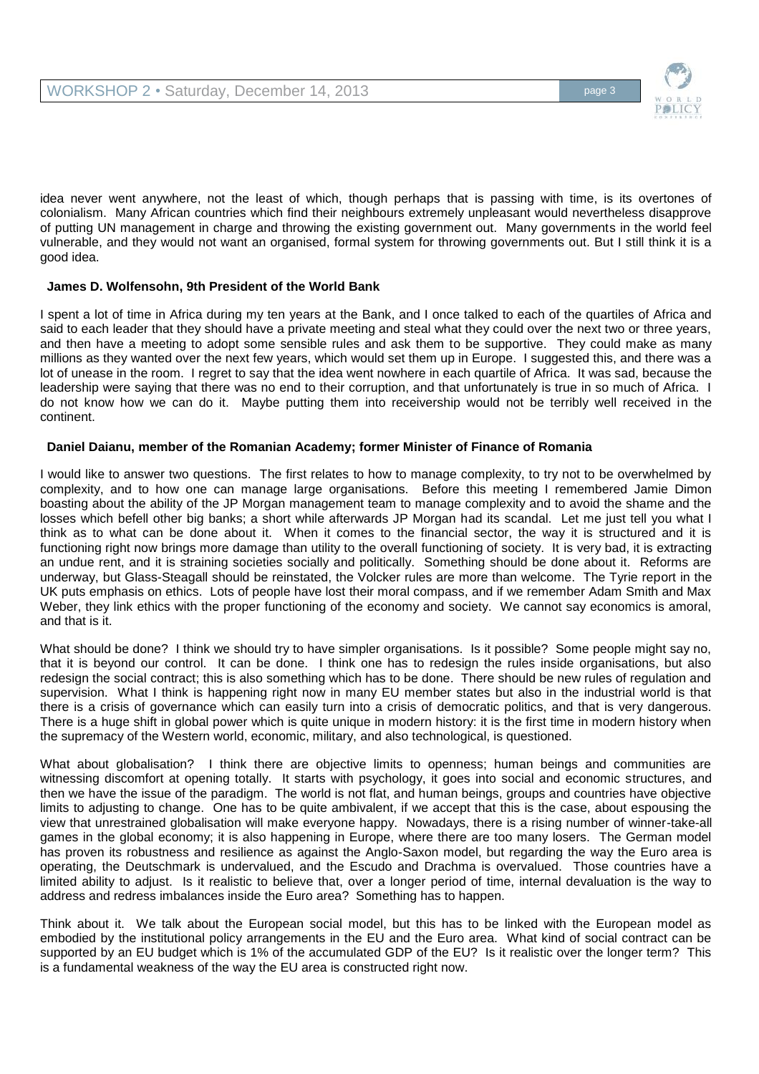

idea never went anywhere, not the least of which, though perhaps that is passing with time, is its overtones of colonialism. Many African countries which find their neighbours extremely unpleasant would nevertheless disapprove of putting UN management in charge and throwing the existing government out. Many governments in the world feel vulnerable, and they would not want an organised, formal system for throwing governments out. But I still think it is a good idea.

# **James D. Wolfensohn, 9th President of the World Bank**

I spent a lot of time in Africa during my ten years at the Bank, and I once talked to each of the quartiles of Africa and said to each leader that they should have a private meeting and steal what they could over the next two or three years, and then have a meeting to adopt some sensible rules and ask them to be supportive. They could make as many millions as they wanted over the next few years, which would set them up in Europe. I suggested this, and there was a lot of unease in the room. I regret to say that the idea went nowhere in each quartile of Africa. It was sad, because the leadership were saying that there was no end to their corruption, and that unfortunately is true in so much of Africa. I do not know how we can do it. Maybe putting them into receivership would not be terribly well received in the continent.

#### **Daniel Daianu, member of the Romanian Academy; former Minister of Finance of Romania**

I would like to answer two questions. The first relates to how to manage complexity, to try not to be overwhelmed by complexity, and to how one can manage large organisations. Before this meeting I remembered Jamie Dimon boasting about the ability of the JP Morgan management team to manage complexity and to avoid the shame and the losses which befell other big banks; a short while afterwards JP Morgan had its scandal. Let me just tell you what I think as to what can be done about it. When it comes to the financial sector, the way it is structured and it is functioning right now brings more damage than utility to the overall functioning of society. It is very bad, it is extracting an undue rent, and it is straining societies socially and politically. Something should be done about it. Reforms are underway, but Glass-Steagall should be reinstated, the Volcker rules are more than welcome. The Tyrie report in the UK puts emphasis on ethics. Lots of people have lost their moral compass, and if we remember Adam Smith and Max Weber, they link ethics with the proper functioning of the economy and society. We cannot say economics is amoral, and that is it.

What should be done? I think we should try to have simpler organisations. Is it possible? Some people might say no, that it is beyond our control. It can be done. I think one has to redesign the rules inside organisations, but also redesign the social contract; this is also something which has to be done. There should be new rules of regulation and supervision. What I think is happening right now in many EU member states but also in the industrial world is that there is a crisis of governance which can easily turn into a crisis of democratic politics, and that is very dangerous. There is a huge shift in global power which is quite unique in modern history: it is the first time in modern history when the supremacy of the Western world, economic, military, and also technological, is questioned.

What about globalisation? I think there are objective limits to openness; human beings and communities are witnessing discomfort at opening totally. It starts with psychology, it goes into social and economic structures, and then we have the issue of the paradigm. The world is not flat, and human beings, groups and countries have objective limits to adjusting to change. One has to be quite ambivalent, if we accept that this is the case, about espousing the view that unrestrained globalisation will make everyone happy. Nowadays, there is a rising number of winner-take-all games in the global economy; it is also happening in Europe, where there are too many losers. The German model has proven its robustness and resilience as against the Anglo-Saxon model, but regarding the way the Euro area is operating, the Deutschmark is undervalued, and the Escudo and Drachma is overvalued. Those countries have a limited ability to adjust. Is it realistic to believe that, over a longer period of time, internal devaluation is the way to address and redress imbalances inside the Euro area? Something has to happen.

Think about it. We talk about the European social model, but this has to be linked with the European model as embodied by the institutional policy arrangements in the EU and the Euro area. What kind of social contract can be supported by an EU budget which is 1% of the accumulated GDP of the EU? Is it realistic over the longer term? This is a fundamental weakness of the way the EU area is constructed right now.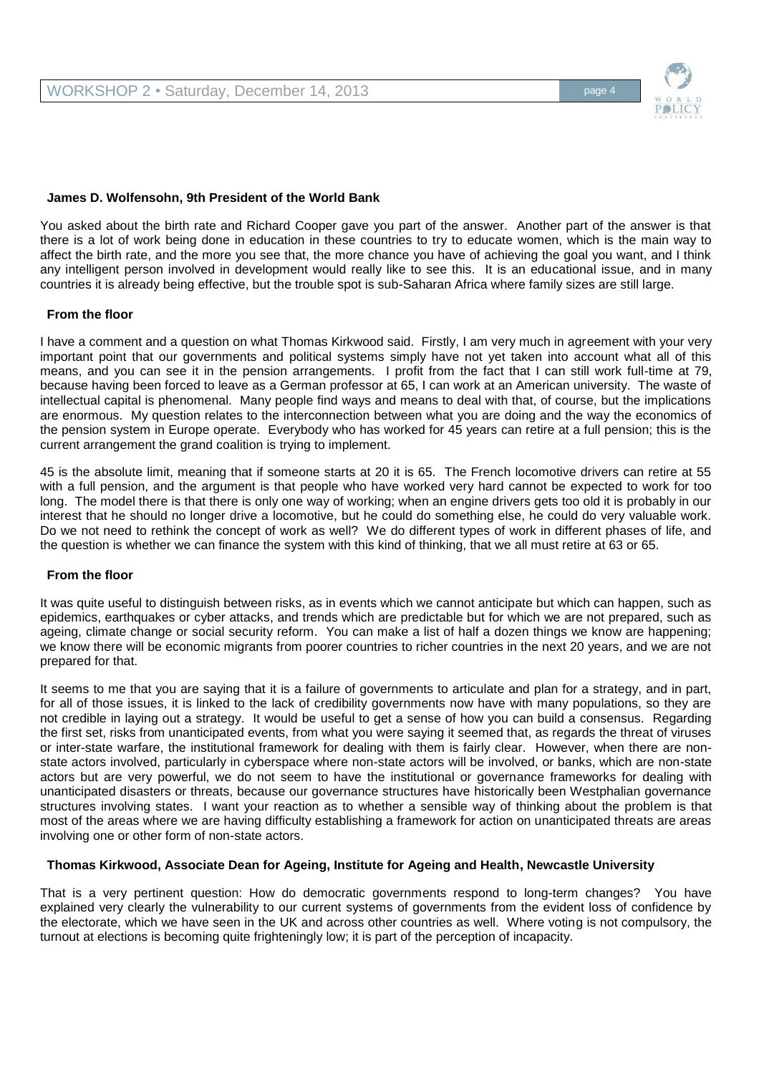

#### **James D. Wolfensohn, 9th President of the World Bank**

You asked about the birth rate and Richard Cooper gave you part of the answer. Another part of the answer is that there is a lot of work being done in education in these countries to try to educate women, which is the main way to affect the birth rate, and the more you see that, the more chance you have of achieving the goal you want, and I think any intelligent person involved in development would really like to see this. It is an educational issue, and in many countries it is already being effective, but the trouble spot is sub-Saharan Africa where family sizes are still large.

#### **From the floor**

I have a comment and a question on what Thomas Kirkwood said. Firstly, I am very much in agreement with your very important point that our governments and political systems simply have not yet taken into account what all of this means, and you can see it in the pension arrangements. I profit from the fact that I can still work full-time at 79, because having been forced to leave as a German professor at 65, I can work at an American university. The waste of intellectual capital is phenomenal. Many people find ways and means to deal with that, of course, but the implications are enormous. My question relates to the interconnection between what you are doing and the way the economics of the pension system in Europe operate. Everybody who has worked for 45 years can retire at a full pension; this is the current arrangement the grand coalition is trying to implement.

45 is the absolute limit, meaning that if someone starts at 20 it is 65. The French locomotive drivers can retire at 55 with a full pension, and the argument is that people who have worked very hard cannot be expected to work for too long. The model there is that there is only one way of working; when an engine drivers gets too old it is probably in our interest that he should no longer drive a locomotive, but he could do something else, he could do very valuable work. Do we not need to rethink the concept of work as well? We do different types of work in different phases of life, and the question is whether we can finance the system with this kind of thinking, that we all must retire at 63 or 65.

#### **From the floor**

It was quite useful to distinguish between risks, as in events which we cannot anticipate but which can happen, such as epidemics, earthquakes or cyber attacks, and trends which are predictable but for which we are not prepared, such as ageing, climate change or social security reform. You can make a list of half a dozen things we know are happening; we know there will be economic migrants from poorer countries to richer countries in the next 20 years, and we are not prepared for that.

It seems to me that you are saying that it is a failure of governments to articulate and plan for a strategy, and in part, for all of those issues, it is linked to the lack of credibility governments now have with many populations, so they are not credible in laying out a strategy. It would be useful to get a sense of how you can build a consensus. Regarding the first set, risks from unanticipated events, from what you were saying it seemed that, as regards the threat of viruses or inter-state warfare, the institutional framework for dealing with them is fairly clear. However, when there are nonstate actors involved, particularly in cyberspace where non-state actors will be involved, or banks, which are non-state actors but are very powerful, we do not seem to have the institutional or governance frameworks for dealing with unanticipated disasters or threats, because our governance structures have historically been Westphalian governance structures involving states. I want your reaction as to whether a sensible way of thinking about the problem is that most of the areas where we are having difficulty establishing a framework for action on unanticipated threats are areas involving one or other form of non-state actors.

#### **Thomas Kirkwood, Associate Dean for Ageing, Institute for Ageing and Health, Newcastle University**

That is a very pertinent question: How do democratic governments respond to long-term changes? You have explained very clearly the vulnerability to our current systems of governments from the evident loss of confidence by the electorate, which we have seen in the UK and across other countries as well. Where voting is not compulsory, the turnout at elections is becoming quite frighteningly low; it is part of the perception of incapacity.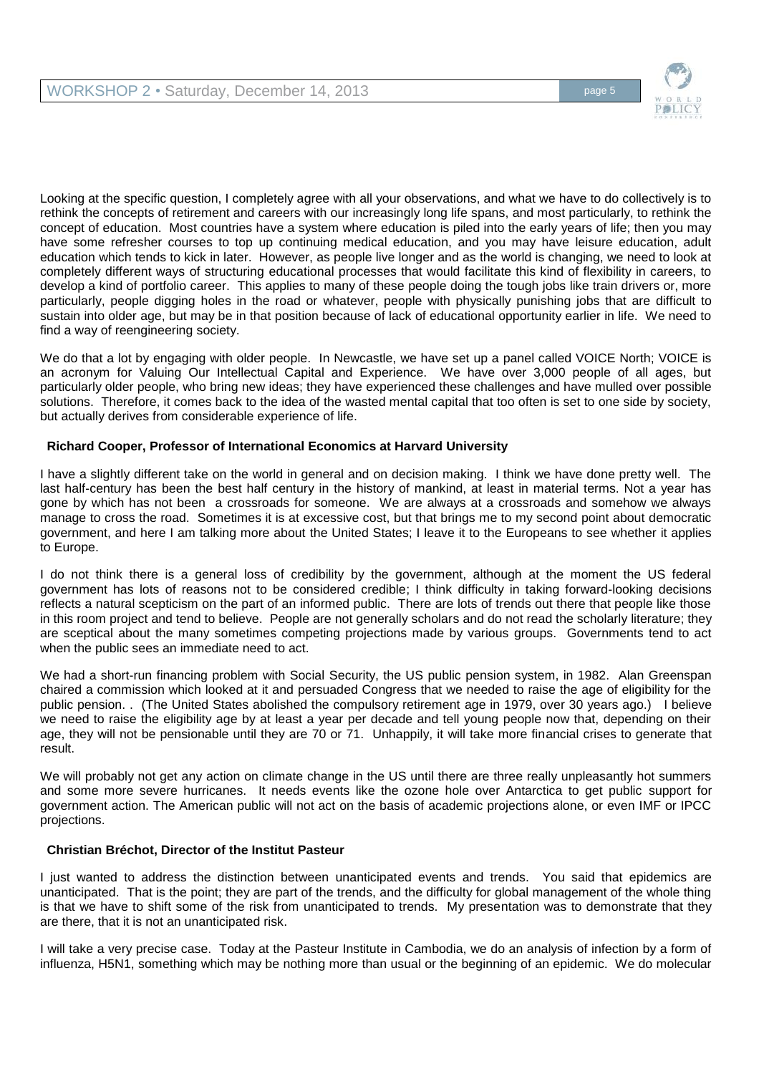

Looking at the specific question, I completely agree with all your observations, and what we have to do collectively is to rethink the concepts of retirement and careers with our increasingly long life spans, and most particularly, to rethink the concept of education. Most countries have a system where education is piled into the early years of life; then you may have some refresher courses to top up continuing medical education, and you may have leisure education, adult education which tends to kick in later. However, as people live longer and as the world is changing, we need to look at completely different ways of structuring educational processes that would facilitate this kind of flexibility in careers, to develop a kind of portfolio career. This applies to many of these people doing the tough jobs like train drivers or, more particularly, people digging holes in the road or whatever, people with physically punishing jobs that are difficult to sustain into older age, but may be in that position because of lack of educational opportunity earlier in life. We need to find a way of reengineering society.

We do that a lot by engaging with older people. In Newcastle, we have set up a panel called VOICE North: VOICE is an acronym for Valuing Our Intellectual Capital and Experience. We have over 3,000 people of all ages, but particularly older people, who bring new ideas; they have experienced these challenges and have mulled over possible solutions. Therefore, it comes back to the idea of the wasted mental capital that too often is set to one side by society, but actually derives from considerable experience of life.

# **Richard Cooper, Professor of International Economics at Harvard University**

I have a slightly different take on the world in general and on decision making. I think we have done pretty well. The last half-century has been the best half century in the history of mankind, at least in material terms. Not a year has gone by which has not been a crossroads for someone. We are always at a crossroads and somehow we always manage to cross the road. Sometimes it is at excessive cost, but that brings me to my second point about democratic government, and here I am talking more about the United States; I leave it to the Europeans to see whether it applies to Europe.

I do not think there is a general loss of credibility by the government, although at the moment the US federal government has lots of reasons not to be considered credible; I think difficulty in taking forward-looking decisions reflects a natural scepticism on the part of an informed public. There are lots of trends out there that people like those in this room project and tend to believe. People are not generally scholars and do not read the scholarly literature; they are sceptical about the many sometimes competing projections made by various groups. Governments tend to act when the public sees an immediate need to act.

We had a short-run financing problem with Social Security, the US public pension system, in 1982. Alan Greenspan chaired a commission which looked at it and persuaded Congress that we needed to raise the age of eligibility for the public pension. . (The United States abolished the compulsory retirement age in 1979, over 30 years ago.) I believe we need to raise the eligibility age by at least a year per decade and tell young people now that, depending on their age, they will not be pensionable until they are 70 or 71. Unhappily, it will take more financial crises to generate that result.

We will probably not get any action on climate change in the US until there are three really unpleasantly hot summers and some more severe hurricanes. It needs events like the ozone hole over Antarctica to get public support for government action. The American public will not act on the basis of academic projections alone, or even IMF or IPCC projections.

#### **Christian Bréchot, Director of the Institut Pasteur**

I just wanted to address the distinction between unanticipated events and trends. You said that epidemics are unanticipated. That is the point; they are part of the trends, and the difficulty for global management of the whole thing is that we have to shift some of the risk from unanticipated to trends. My presentation was to demonstrate that they are there, that it is not an unanticipated risk.

I will take a very precise case. Today at the Pasteur Institute in Cambodia, we do an analysis of infection by a form of influenza, H5N1, something which may be nothing more than usual or the beginning of an epidemic. We do molecular